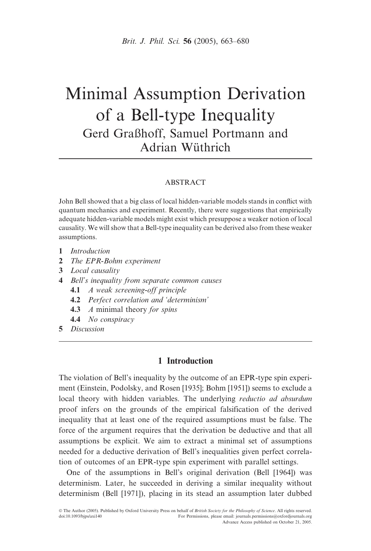# Minimal Assumption Derivation of a Bell-type Inequality Gerd Graßhoff, Samuel Portmann and Adrian Wüthrich

#### ABSTRACT

John Bell showed that a big class of local hidden-variable models stands in conflict with quantum mechanics and experiment. Recently, there were suggestions that empirically adequate hidden-variable models might exist which presuppose a weaker notion of local causality. We will show that a Bell-type inequality can be derived also from these weaker assumptions.

- 1 Introduction
- 2 The EPR-Bohm experiment
- 3 Local causality
- 4 Bell's inequality from separate common causes
	- 4.1 A weak screening-off principle
	- 4.2 Perfect correlation and 'determinism'
	- 4.3 A minimal theory for spins
	- 4.4 No conspiracy
- 5 Discussion

# 1 Introduction

The violation of Bell's inequality by the outcome of an EPR-type spin experiment (Einstein, Podolsky, and Rosen [1935]; Bohm [1951]) seems to exclude a local theory with hidden variables. The underlying reductio ad absurdum proof infers on the grounds of the empirical falsification of the derived inequality that at least one of the required assumptions must be false. The force of the argument requires that the derivation be deductive and that all assumptions be explicit. We aim to extract a minimal set of assumptions needed for a deductive derivation of Bell's inequalities given perfect correlation of outcomes of an EPR-type spin experiment with parallel settings.

One of the assumptions in Bell's original derivation (Bell [1964]) was determinism. Later, he succeeded in deriving a similar inequality without determinism (Bell [1971]), placing in its stead an assumption later dubbed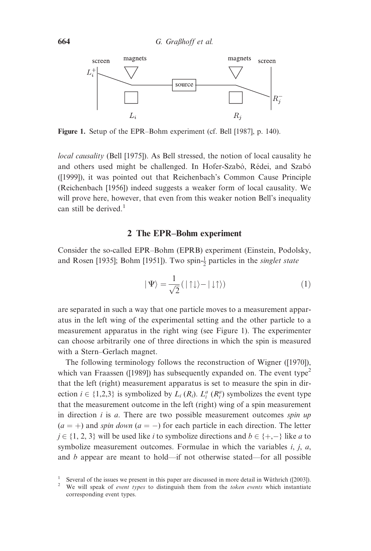

Figure 1. Setup of the EPR–Bohm experiment (cf. Bell [1987], p. 140).

local causality (Bell [1975]). As Bell stressed, the notion of local causality he and others used might be challenged. In Hofer-Szabó, Rédei, and Szabó ([1999]), it was pointed out that Reichenbach's Common Cause Principle (Reichenbach [1956]) indeed suggests a weaker form of local causality. We will prove here, however, that even from this weaker notion Bell's inequality can still be derived.<sup>1</sup>

# 2 The EPR–Bohm experiment

Consider the so-called EPR–Bohm (EPRB) experiment (Einstein, Podolsky, and Rosen [1935]; Bohm [1951]). Two spin- $\frac{1}{2}$  particles in the *singlet state* 

$$
|\Psi\rangle = \frac{1}{\sqrt{2}} (|\uparrow \downarrow \rangle - |\downarrow \uparrow \rangle)
$$
 (1)

are separated in such a way that one particle moves to a measurement apparatus in the left wing of the experimental setting and the other particle to a measurement apparatus in the right wing (see Figure 1). The experimenter can choose arbitrarily one of three directions in which the spin is measured with a Stern–Gerlach magnet.

The following terminology follows the reconstruction of Wigner ([1970]), which van Fraassen ([1989]) has subsequently expanded on. The event type<sup>2</sup> that the left (right) measurement apparatus is set to measure the spin in direction  $i \in \{1,2,3\}$  is symbolized by  $L_i (R_i)$ .  $L_i^a (R_i^a)$  symbolizes the event type that the measurement outcome in the left (right) wing of a spin measurement in direction  $i$  is  $a$ . There are two possible measurement outcomes spin  $up$  $(a = +)$  and spin down  $(a = -)$  for each particle in each direction. The letter  $j \in \{1, 2, 3\}$  will be used like i to symbolize directions and  $b \in \{+, -\}$  like a to symbolize measurement outcomes. Formulae in which the variables  $i, j, a$ , and b appear are meant to hold—if not otherwise stated—for all possible

<sup>&</sup>lt;sup>1</sup> Several of the issues we present in this paper are discussed in more detail in Wüthrich ([2003]).<sup>2</sup> We will speak of *event types* to distinguish them from the *token events* which instantiate corresponding event types.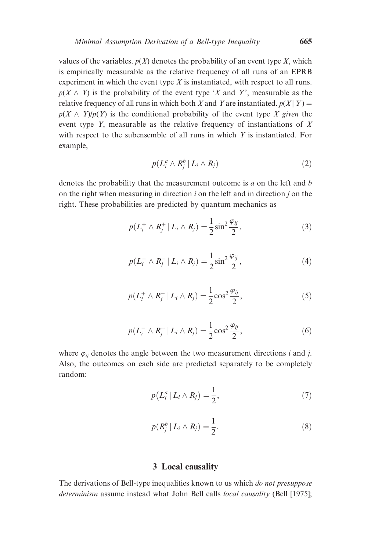values of the variables.  $p(X)$  denotes the probability of an event type X, which is empirically measurable as the relative frequency of all runs of an EPRB experiment in which the event type  $X$  is instantiated, with respect to all runs.  $p(X \wedge Y)$  is the probability of the event type 'X and Y', measurable as the relative frequency of all runs in which both X and Y are instantiated.  $p(X | Y) =$  $p(X \wedge Y)/p(Y)$  is the conditional probability of the event type X given the event type Y, measurable as the relative frequency of instantiations of X with respect to the subensemble of all runs in which  $Y$  is instantiated. For example,

$$
p(L_i^a \wedge R_j^b \mid L_i \wedge R_j) \tag{2}
$$

denotes the probability that the measurement outcome is  $a$  on the left and  $b$ on the right when measuring in direction  $i$  on the left and in direction  $j$  on the right. These probabilities are predicted by quantum mechanics as

$$
p(L_i^+ \wedge R_j^+ | L_i \wedge R_j) = \frac{1}{2} \sin^2 \frac{\varphi_{ij}}{2},
$$
 (3)

$$
p(L_i^- \wedge R_j^- \mid L_i \wedge R_j) = \frac{1}{2} \sin^2 \frac{\varphi_{ij}}{2},
$$
 (4)

$$
p(L_i^+ \wedge R_j^- \,|\, L_i \wedge R_j) = \frac{1}{2} \cos^2 \frac{\varphi_{ij}}{2},\tag{5}
$$

$$
p(L_i^- \wedge R_j^+ \mid L_i \wedge R_j) = \frac{1}{2} \cos^2 \frac{\varphi_{ij}}{2},
$$
 (6)

where  $\varphi_{ij}$  denotes the angle between the two measurement directions i and j. Also, the outcomes on each side are predicted separately to be completely random:

$$
p(L_i^a | L_i \wedge R_j) = \frac{1}{2},\tag{7}
$$

$$
p(R_j^b | L_i \wedge R_j) = \frac{1}{2}.
$$
 (8)

## 3 Local causality

The derivations of Bell-type inequalities known to us which *do not presuppose* determinism assume instead what John Bell calls *local causality* (Bell [1975];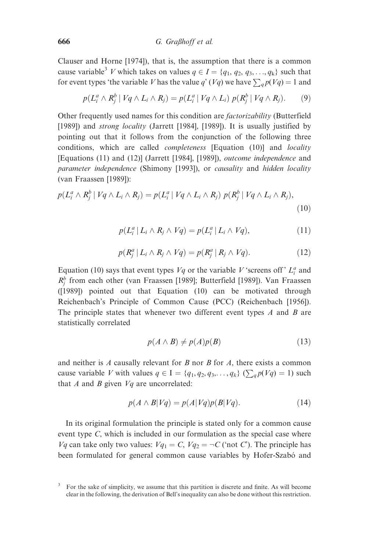Clauser and Horne [1974]), that is, the assumption that there is a common cause variable<sup>3</sup> V which takes on values  $q \in I = \{q_1, q_2, q_3, \ldots, q_k\}$  such that for event types 'the variable V has the value q' (Vq) we have  $\sum_{q} p(Vq) = 1$  and

$$
p(L_i^a \wedge R_j^b \mid Vq \wedge L_i \wedge R_j) = p(L_i^a \mid Vq \wedge L_i) p(R_j^b \mid Vq \wedge R_j).
$$
 (9)

Other frequently used names for this condition are factorizability (Butterfield [1989]) and *strong locality* (Jarrett [1984], [1989]). It is usually justified by pointing out that it follows from the conjunction of the following three conditions, which are called *completeness* [Equation (10)] and *locality* [Equations (11) and (12)] (Jarrett [1984], [1989]), outcome independence and parameter independence (Shimony [1993]), or causality and hidden locality (van Fraassen [1989]):

$$
p(L_i^a \wedge R_j^b \mid Vq \wedge L_i \wedge R_j) = p(L_i^a \mid Vq \wedge L_i \wedge R_j) p(R_j^b \mid Vq \wedge L_i \wedge R_j),
$$
\n(10)

$$
p(L_i^a | L_i \wedge R_j \wedge Vq) = p(L_i^a | L_i \wedge Vq), \qquad (11)
$$

$$
p(R_j^a | L_i \wedge R_j \wedge Vq) = p(R_j^a | R_j \wedge Vq). \tag{12}
$$

Equation (10) says that event types  $Vq$  or the variable V 'screens off'  $L_i^a$  and  $R_j^b$  from each other (van Fraassen [1989]; Butterfield [1989]). Van Fraassen ([1989]) pointed out that Equation (10) can be motivated through Reichenbach's Principle of Common Cause (PCC) (Reichenbach [1956]). The principle states that whenever two different event types  $A$  and  $B$  are statistically correlated

$$
p(A \wedge B) \neq p(A)p(B) \tag{13}
$$

and neither is  $A$  causally relevant for  $B$  nor  $B$  for  $A$ , there exists a common cause variable V with values  $q \in I = \{q_1, q_2, q_3, \ldots, q_k\}$  ( $\sum_q p(Vq) = 1$ ) such that  $A$  and  $B$  given  $Vq$  are uncorrelated:

$$
p(A \wedge B|Vq) = p(A|Vq)p(B|Vq). \tag{14}
$$

In its original formulation the principle is stated only for a common cause event type C, which is included in our formulation as the special case where  $Vq$  can take only two values:  $Vq_1 = C$ ,  $Vq_2 = \neg C$  ('not C'). The principle has been formulated for general common cause variables by Hofer-Szabó and

<sup>3</sup> For the sake of simplicity, we assume that this partition is discrete and finite. As will become clear in the following, the derivation of Bell's inequality can also be done without this restriction.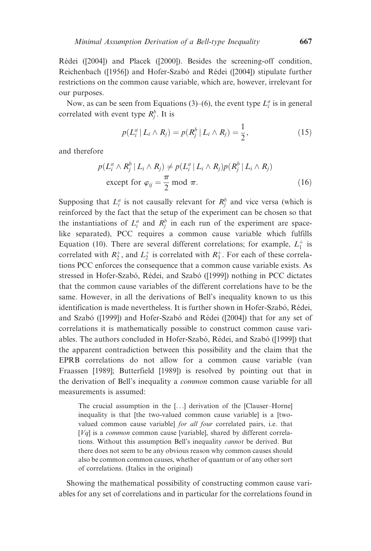Rédei ([2004]) and Placek ([2000]). Besides the screening-off condition, Reichenbach ([1956]) and Hofer-Szabó and Rédei ([2004]) stipulate further restrictions on the common cause variable, which are, however, irrelevant for our purposes.

Now, as can be seen from Equations (3)–(6), the event type  $L_i^a$  is in general correlated with event type  $R_j^b$ . It is

$$
p(L_i^a | L_i \wedge R_j) = p(R_j^b | L_i \wedge R_j) = \frac{1}{2},
$$
\n(15)

and therefore

$$
p(L_i^a \wedge R_j^b | L_i \wedge R_j) \neq p(L_i^a | L_i \wedge R_j) p(R_j^b | L_i \wedge R_j)
$$
  
except for  $\varphi_{ij} = \frac{\pi}{2} \mod \pi$ . (16)

Supposing that  $L_i^a$  is not causally relevant for  $R_j^b$  and vice versa (which is reinforced by the fact that the setup of the experiment can be chosen so that the instantiations of  $L_i^a$  and  $R_j^b$  in each run of the experiment are spacelike separated), PCC requires a common cause variable which fulfills Equation (10). There are several different correlations; for example,  $L_1^+$  is correlated with  $R_2^+$ , and  $L_2^+$  is correlated with  $R_3^+$ . For each of these correlations PCC enforces the consequence that a common cause variable exists. As stressed in Hofer-Szabó, Rédei, and Szabó ([1999]) nothing in PCC dictates that the common cause variables of the different correlations have to be the same. However, in all the derivations of Bell's inequality known to us this identification is made nevertheless. It is further shown in Hofer-Szabó, Rédei, and Szabó ([1999]) and Hofer-Szabó and Rédei ([2004]) that for any set of correlations it is mathematically possible to construct common cause variables. The authors concluded in Hofer-Szabó, Rédei, and Szabó ([1999]) that the apparent contradiction between this possibility and the claim that the EPRB correlations do not allow for a common cause variable (van Fraassen [1989]; Butterfield [1989]) is resolved by pointing out that in the derivation of Bell's inequality a common common cause variable for all measurements is assumed:

The crucial assumption in the [...] derivation of the [Clauser–Horne] inequality is that [the two-valued common cause variable] is a [twovalued common cause variable] *for all four* correlated pairs, i.e. that  $[Vq]$  is a *common* common cause [variable], shared by different correlations. Without this assumption Bell's inequality cannot be derived. But there does not seem to be any obvious reason why common causes should also be common common causes, whether of quantum or of any other sort of correlations. (Italics in the original)

Showing the mathematical possibility of constructing common cause variables for any set of correlations and in particular for the correlations found in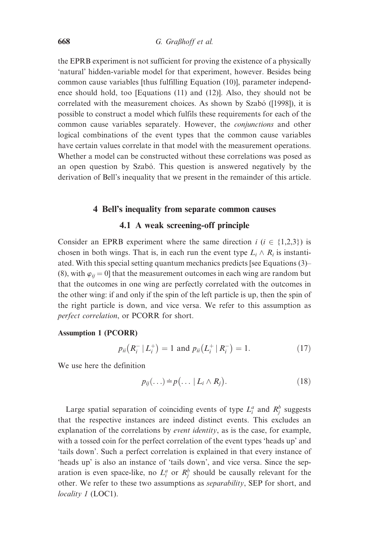the EPRB experiment is not sufficient for proving the existence of a physically 'natural' hidden-variable model for that experiment, however. Besides being common cause variables [thus fulfilling Equation (10)], parameter independence should hold, too [Equations (11) and (12)]. Also, they should not be correlated with the measurement choices. As shown by Szabó ([1998]), it is possible to construct a model which fulfils these requirements for each of the common cause variables separately. However, the conjunctions and other logical combinations of the event types that the common cause variables have certain values correlate in that model with the measurement operations. Whether a model can be constructed without these correlations was posed as an open question by Szabó. This question is answered negatively by the derivation of Bell's inequality that we present in the remainder of this article.

#### 4 Bell's inequality from separate common causes

## 4.1 A weak screening-off principle

Consider an EPRB experiment where the same direction  $i$  ( $i \in \{1,2,3\}$ ) is chosen in both wings. That is, in each run the event type  $L_i \wedge R_i$  is instantiated. With this special setting quantum mechanics predicts [see Equations (3)– (8), with  $\varphi_{ii} = 0$ ] that the measurement outcomes in each wing are random but that the outcomes in one wing are perfectly correlated with the outcomes in the other wing: if and only if the spin of the left particle is up, then the spin of the right particle is down, and vice versa. We refer to this assumption as perfect correlation, or PCORR for short.

## Assumption 1 (PCORR)

$$
p_{ii}(R_i^- | L_i^+)=1 \text{ and } p_{ii}(L_i^+ | R_i^-)=1. \tag{17}
$$

We use here the definition

$$
p_{ij}(\ldots) \doteq p(\ldots \mid L_i \wedge R_j). \tag{18}
$$

Large spatial separation of coinciding events of type  $L_i^a$  and  $R_j^b$  suggests that the respective instances are indeed distinct events. This excludes an explanation of the correlations by *event identity*, as is the case, for example, with a tossed coin for the perfect correlation of the event types 'heads up' and 'tails down'. Such a perfect correlation is explained in that every instance of 'heads up' is also an instance of 'tails down', and vice versa. Since the separation is even space-like, no  $L_i^a$  or  $R_j^b$  should be causally relevant for the other. We refer to these two assumptions as separability, SEP for short, and locality 1 (LOC1).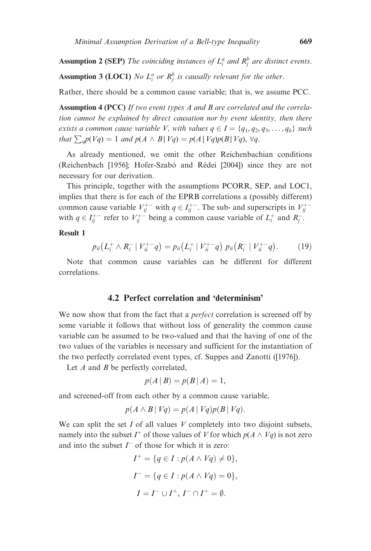**Assumption 2 (SEP)** The coinciding instances of  $L_i^a$  and  $R_j^b$  are distinct events.

**Assumption 3 (LOC1)** No  $L_i^a$  or  $R_j^b$  is causally relevant for the other.

Rather, there should be a common cause variable; that is, we assume PCC.

Assumption 4 (PCC) If two event types A and B are correlated and the correlation cannot be explained by direct causation nor by event identity, then there exists a common cause variable V, with values  $q \in I = \{q_1, q_2, q_3, \ldots, q_k\}$  such that  $\sum_{q}p(Vq) = 1$  and  $p(A \wedge B | Vq) = p(A | Vq)p(B | Vq)$ ,  $\forall q$ .

As already mentioned, we omit the other Reichenbachian conditions (Reichenbach [1956]; Hofer-Szabó and Rédei [2004]) since they are not necessary for our derivation.

This principle, together with the assumptions PCORR, SEP, and LOC1, implies that there is for each of the EPRB correlations a (possibly different) common cause variable  $V_{ij}^{+-}$  with  $q \in I_{ij}^{+-}$ . The sub- and superscripts in  $V_{ij}^{+-}$ with  $q \in I_{ij}^{+-}$  refer to  $V_{ij}^{+-}$  being a common cause variable of  $L_i^+$  and  $R_j^-$ .

#### Result 1

$$
p_{ii}(L_i^+ \wedge R_i^- \mid V_{ii}^{+-} q) = p_{ii}(L_i^+ \mid V_{ii}^{+-} q) p_{ii}(R_i^- \mid V_{ii}^{+-} q). \hspace{1cm} (19)
$$

Note that common cause variables can be different for different correlations.

# 4.2 Perfect correlation and 'determinism'

We now show that from the fact that a *perfect* correlation is screened off by some variable it follows that without loss of generality the common cause variable can be assumed to be two-valued and that the having of one of the two values of the variables is necessary and sufficient for the instantiation of the two perfectly correlated event types, cf. Suppes and Zanotti ([1976]).

Let  $A$  and  $B$  be perfectly correlated,

$$
p(A | B) = p(B | A) = 1,
$$

and screened-off from each other by a common cause variable,

$$
p(A \wedge B \mid Vq) = p(A \mid Vq)p(B \mid Vq).
$$

We can split the set  $I$  of all values  $V$  completely into two disjoint subsets, namely into the subset  $I^+$  of those values of V for which  $p(A \wedge Vq)$  is not zero and into the subset  $\Gamma$  of those for which it is zero:

$$
I^{+} = \{q \in I : p(A \wedge Vq) \neq 0\},
$$
  
\n
$$
I^{-} = \{q \in I : p(A \wedge Vq) = 0\},
$$
  
\n
$$
I = I^{-} \cup I^{+}, I^{-} \cap I^{+} = \emptyset.
$$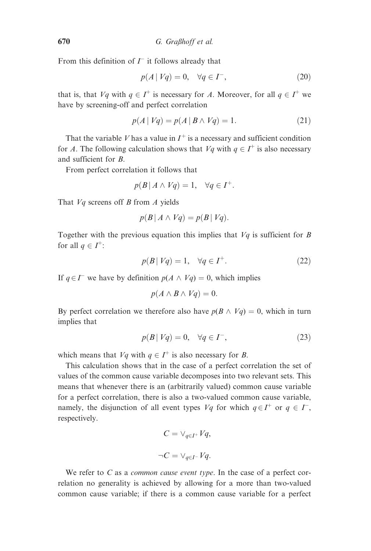From this definition of  $\Gamma$  it follows already that

$$
p(A \mid Vq) = 0, \quad \forall q \in I^-, \tag{20}
$$

that is, that  $Vq$  with  $q \in I^+$  is necessary for A. Moreover, for all  $q \in I^+$  we have by screening-off and perfect correlation

$$
p(A \mid Vq) = p(A \mid B \land Vq) = 1.
$$
 (21)

That the variable V has a value in  $I^+$  is a necessary and sufficient condition for A. The following calculation shows that  $Vq$  with  $q \in I^+$  is also necessary and sufficient for B.

From perfect correlation it follows that

$$
p(B | A \wedge Vq) = 1, \quad \forall q \in I^+.
$$

That  $Vq$  screens off B from A yields

$$
p(B | A \wedge Vq) = p(B | Vq).
$$

Together with the previous equation this implies that  $Vq$  is sufficient for B for all  $q \in I^+$ :

$$
p(B \mid Vq) = 1, \quad \forall q \in I^+.
$$
\n<sup>(22)</sup>

If  $q \in \mathcal{I}^-$  we have by definition  $p(A \wedge Vq) = 0$ , which implies

$$
p(A \wedge B \wedge Vq) = 0.
$$

By perfect correlation we therefore also have  $p(B \wedge Vq) = 0$ , which in turn implies that

$$
p(B \mid Vq) = 0, \quad \forall q \in I^-, \tag{23}
$$

which means that  $Vq$  with  $q \in I^+$  is also necessary for B.

This calculation shows that in the case of a perfect correlation the set of values of the common cause variable decomposes into two relevant sets. This means that whenever there is an (arbitrarily valued) common cause variable for a perfect correlation, there is also a two-valued common cause variable, namely, the disjunction of all event types  $Vq$  for which  $q \in I^+$  or  $q \in I^-$ , respectively.

$$
C = \vee_{q \in I^+} Vq,
$$
  

$$
\neg C = \vee_{q \in I^-} Vq.
$$

We refer to  $C$  as a *common cause event type*. In the case of a perfect correlation no generality is achieved by allowing for a more than two-valued common cause variable; if there is a common cause variable for a perfect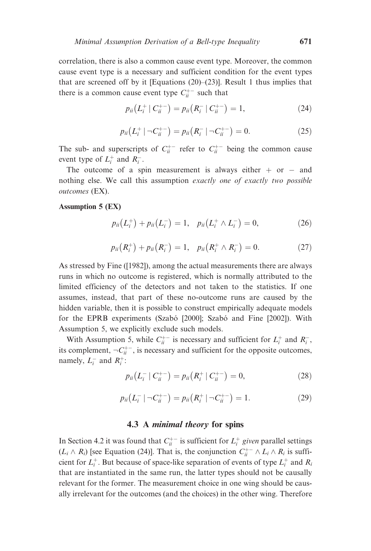correlation, there is also a common cause event type. Moreover, the common cause event type is a necessary and sufficient condition for the event types that are screened off by it [Equations  $(20)$ – $(23)$ ]. Result 1 thus implies that there is a common cause event type  $C_{ii}^{+-}$  such that

$$
p_{ii}(L_i^+ | C_{ii}^{+-}) = p_{ii}(R_i^- | C_{ii}^{+-}) = 1,
$$
\n(24)

$$
p_{ii}(L_i^+ | \neg C_{ii}^{+-}) = p_{ii}(R_i^- | \neg C_{ii}^{+-}) = 0.
$$
 (25)

The sub- and superscripts of  $C_{ii}^{+-}$  refer to  $C_{ii}^{+-}$  being the common cause event type of  $L_i^+$  and  $R_i^-$ .

The outcome of a spin measurement is always either  $+$  or  $-$  and nothing else. We call this assumption exactly one of exactly two possible outcomes (EX).

## Assumption 5 (EX)

$$
p_{ii}(L_i^+) + p_{ii}(L_i^-) = 1, \quad p_{ii}(L_i^+ \wedge L_i^-) = 0,
$$
 (26)

$$
p_{ii}(R_i^+) + p_{ii}(R_i^-) = 1, \quad p_{ii}(R_i^+ \wedge R_i^-) = 0. \tag{27}
$$

As stressed by Fine ([1982]), among the actual measurements there are always runs in which no outcome is registered, which is normally attributed to the limited efficiency of the detectors and not taken to the statistics. If one assumes, instead, that part of these no-outcome runs are caused by the hidden variable, then it is possible to construct empirically adequate models for the EPRB experiments (Szabó [2000]; Szabó and Fine [2002]). With Assumption 5, we explicitly exclude such models.

With Assumption 5, while  $C_{ii}^{+-}$  is necessary and sufficient for  $L_i^+$  and  $R_i^-,$ its complement,  $\neg C_{ii}^{+-}$ , is necessary and sufficient for the opposite outcomes, namely,  $L_i^-$  and  $R_i^+$ :

$$
p_{ii}(L_i^- | C_{ii}^{+-}) = p_{ii}(R_i^+ | C_{ii}^{+-}) = 0,
$$
\n(28)

$$
p_{ii}(L_i^- | \neg C_{ii}^{+-}) = p_{ii}(R_i^+ | \neg C_{ii}^{+-}) = 1. \tag{29}
$$

# 4.3 A minimal theory for spins

In Section 4.2 it was found that  $C_{ii}^{+-}$  is sufficient for  $L_i^+$  given parallel settings  $(L_i \wedge R_i)$  [see Equation (24)]. That is, the conjunction  $C_{ii}^{+-} \wedge L_i \wedge R_i$  is sufficient for  $L_i^+$ . But because of space-like separation of events of type  $L_i^+$  and  $R_i$ that are instantiated in the same run, the latter types should not be causally relevant for the former. The measurement choice in one wing should be causally irrelevant for the outcomes (and the choices) in the other wing. Therefore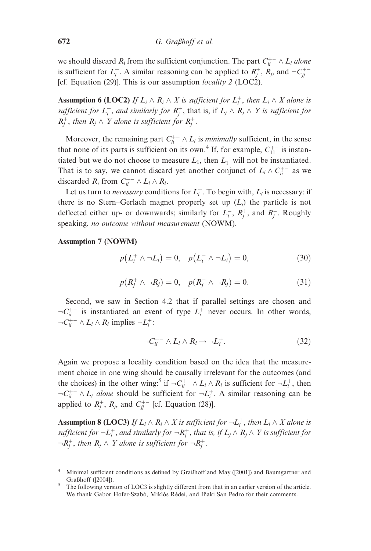we should discard  $R_i$  from the sufficient conjunction. The part  $C_{ii}^{+-} \wedge L_i$  alone is sufficient for  $L_i^+$ . A similar reasoning can be applied to  $R_j^+$ ,  $R_j$ , and  $\neg C_{jj}^{+-}$ [cf. Equation (29)]. This is our assumption *locality* 2 (LOC2).

**Assumption 6 (LOC2)** If  $L_i \wedge R_i \wedge X$  is sufficient for  $L_i^+$ , then  $L_i \wedge X$  alone is sufficient for  $L_i^+$ , and similarly for  $R_j^+$ , that is, if  $L_j \wedge R_j \wedge Y$  is sufficient for  $R_j^+$ , then  $R_j \wedge Y$  alone is sufficient for  $R_j^+$ .

Moreover, the remaining part  $C_{ii}^{+-} \wedge L_i$  is *minimally* sufficient, in the sense that none of its parts is sufficient on its own.<sup>4</sup> If, for example,  $C_{11}^{+-}$  is instantiated but we do not choose to measure  $L_1$ , then  $L_1^+$  will not be instantiated. That is to say, we cannot discard yet another conjunct of  $L_i \wedge C_{ii}^{+-}$  as we discarded  $R_i$  from  $C_{ii}^{+-} \wedge L_i \wedge R_i$ .

Let us turn to *necessary* conditions for  $L_i^+$ . To begin with,  $L_i$  is necessary: if there is no Stern–Gerlach magnet properly set up  $(L_i)$  the particle is not deflected either up- or downwards; similarly for  $L_i^-$ ,  $R_j^+$ , and  $R_j^-$ . Roughly speaking, no outcome without measurement (NOWM).

#### Assumption 7 (NOWM)

$$
p(L_i^+ \wedge \neg L_i) = 0, \quad p(L_i^- \wedge \neg L_i) = 0,
$$
 (30)

$$
p(R_j^+ \wedge \neg R_j) = 0, \quad p(R_j^- \wedge \neg R_j) = 0.
$$
 (31)

Second, we saw in Section 4.2 that if parallel settings are chosen and  $\neg C_{ii}^{+-}$  is instantiated an event of type  $L_i^+$  never occurs. In other words,  $\neg C_{ii}^{+-} \wedge L_i \wedge R_i$  implies  $\neg L_i^+$ :

$$
\neg C_{ii}^{+-} \land L_i \land R_i \rightarrow \neg L_i^+.
$$
 (32)

Again we propose a locality condition based on the idea that the measurement choice in one wing should be causally irrelevant for the outcomes (and the choices) in the other wing:<sup>5</sup> if  $\neg C_{ii}^{+-} \wedge L_i \wedge R_i$  is sufficient for  $\neg L_i^+$ , then  $\neg C_{ii}^{+-} \wedge L_i$  alone should be sufficient for  $\neg L_i^+$ . A similar reasoning can be applied to  $R_j^+$ ,  $R_j$ , and  $C_{jj}^{+-}$  [cf. Equation (28)].

**Assumption 8 (LOC3)** If  $L_i \wedge R_i \wedge X$  is sufficient for  $\neg L_i^+$ , then  $L_i \wedge X$  alone is sufficient for  $\neg L_i^+$ , and similarly for  $\neg R_j^+$ , that is, if  $L_j \wedge R_j \wedge Y$  is sufficient for  $\neg R_j^+$ , then  $R_j \wedge Y$  alone is sufficient for  $\neg R_j^+$ .

Minimal sufficient conditions as defined by Graßhoff and May ([2001]) and Baumgartner and Graßhoff ([2004]).<br><sup>5</sup> The following version of LOC3 is slightly different from that in an earlier version of the article.

We thank Gabor Hofer-Szabó, Miklós Rédei, and Iñaki San Pedro for their comments.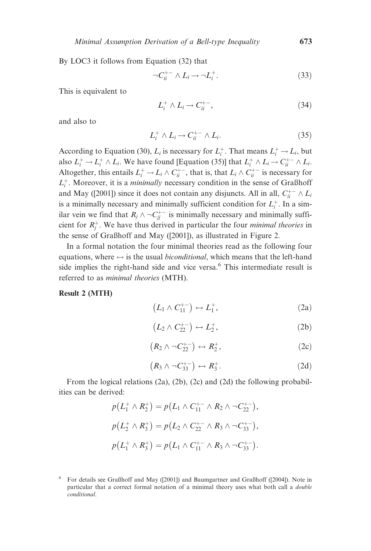By LOC3 it follows from Equation (32) that

$$
\neg C_{ii}^{+-} \wedge L_i \rightarrow \neg L_i^+.
$$
 (33)

This is equivalent to

$$
L_i^+ \wedge L_i \to C_{ii}^{+-}, \tag{34}
$$

and also to

$$
L_i^+ \wedge L_i \to C_{ii}^{+-} \wedge L_i. \tag{35}
$$

According to Equation (30),  $L_i$  is necessary for  $L_i^+$ . That means  $L_i^+ \rightarrow L_i$ , but also  $L_i^+ \to L_i^+ \wedge L_i$ . We have found [Equation (35)] that  $L_i^+ \wedge L_i \to C_{ii}^{+-} \wedge L_i$ . Altogether, this entails  $L_i^+ \to L_i \wedge C_{ii}^{+-}$ , that is, that  $L_i \wedge C_{ii}^{+-}$  is necessary for  $L_i^+$ . Moreover, it is a *minimally* necessary condition in the sense of Graßhoff and May ([2001]) since it does not contain any disjuncts. All in all,  $C_{ii}^{+-} \wedge L_i$ is a minimally necessary and minimally sufficient condition for  $L_i^+$ . In a similar vein we find that  $R_j \wedge \neg C_{jj}^{+-}$  is minimally necessary and minimally sufficient for  $R_j^+$ . We have thus derived in particular the four *minimal theories* in the sense of Graßhoff and May ([2001]), as illustrated in Figure 2.

In a formal notation the four minimal theories read as the following four equations, where  $\leftrightarrow$  is the usual *biconditional*, which means that the left-hand side implies the right-hand side and vice versa.<sup>6</sup> This intermediate result is referred to as minimal theories (MTH).

#### Result 2 (MTH)

$$
(L_1 \wedge C_{11}^{+-}) \leftrightarrow L_1^+, \tag{2a}
$$

$$
(L_2 \wedge C_{22}^{+-}) \leftrightarrow L_2^+, \tag{2b}
$$

$$
(R_2 \wedge \neg C_{22}^{+-}) \leftrightarrow R_2^+, \qquad (2c)
$$

$$
(R_3 \wedge \neg C_{33}^{+-}) \leftrightarrow R_3^+.
$$
 (2d)

From the logical relations (2a), (2b), (2c) and (2d) the following probabilities can be derived:

$$
p(L_1^+ \wedge R_2^+) = p(L_1 \wedge C_{11}^{+-} \wedge R_2 \wedge \neg C_{22}^{+-}),
$$
  

$$
p(L_2^+ \wedge R_3^+) = p(L_2 \wedge C_{22}^{+-} \wedge R_3 \wedge \neg C_{33}^{+-}),
$$
  

$$
p(L_1^+ \wedge R_3^+) = p(L_1 \wedge C_{11}^{+-} \wedge R_3 \wedge \neg C_{33}^{+-}).
$$

<sup>6</sup> For details see Graßhoff and May ([2001]) and Baumgartner and Graßhoff ([2004]). Note in particular that a correct formal notation of a minimal theory uses what both call a double conditional.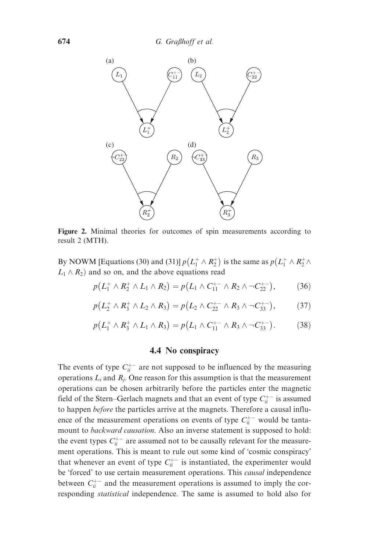

Figure 2. Minimal theories for outcomes of spin measurements according to result 2 (MTH).

By NOWM [Equations (30) and (31)]  $p(L_1^+ \wedge R_2^+)$  is the same as  $p(L_1^+ \wedge R_2^+ \wedge R_2^+)$  $L_1 \wedge R_2$  and so on, and the above equations read

$$
p(L_1^+ \wedge R_2^+ \wedge L_1 \wedge R_2) = p(L_1 \wedge C_{11}^{+-} \wedge R_2 \wedge \neg C_{22}^{+-}), \qquad (36)
$$

$$
p(L_2^+ \wedge R_3^+ \wedge L_2 \wedge R_3) = p(L_2 \wedge C_{22}^{+-} \wedge R_3 \wedge \neg C_{33}^{+-}), \qquad (37)
$$

$$
p(L_1^+ \wedge R_3^+ \wedge L_1 \wedge R_3) = p(L_1 \wedge C_{11}^{+-} \wedge R_3 \wedge \neg C_{33}^{+-}). \tag{38}
$$

#### 4.4 No conspiracy

The events of type  $C_{ii}^{+-}$  are not supposed to be influenced by the measuring operations  $L_i$  and  $R_i$ . One reason for this assumption is that the measurement operations can be chosen arbitrarily before the particles enter the magnetic field of the Stern–Gerlach magnets and that an event of type  $C_{ii}^{+-}$  is assumed to happen before the particles arrive at the magnets. Therefore a causal influence of the measurement operations on events of type  $C_{ii}^{+-}$  would be tantamount to backward causation. Also an inverse statement is supposed to hold: the event types  $C_{ii}^{+-}$  are assumed not to be causally relevant for the measurement operations. This is meant to rule out some kind of 'cosmic conspiracy' that whenever an event of type  $C_{ii}^{+-}$  is instantiated, the experimenter would be 'forced' to use certain measurement operations. This *causal* independence between  $C_{ii}^{+-}$  and the measurement operations is assumed to imply the corresponding statistical independence. The same is assumed to hold also for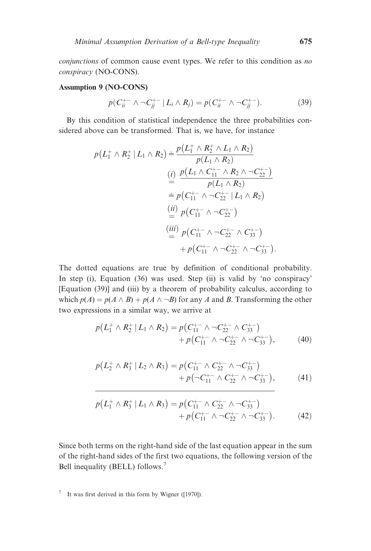conjunctions of common cause event types. We refer to this condition as no conspiracy (NO-CONS).

#### Assumption 9 (NO-CONS)

$$
p(C_{ii}^{+-} \wedge \neg C_{jj}^{+-} | L_i \wedge R_j) = p(C_{ii}^{+-} \wedge \neg C_{jj}^{+-}). \tag{39}
$$

By this condition of statistical independence the three probabilities considered above can be transformed. That is, we have, for instance

$$
p(L_1^+ \wedge R_2^+ | L_1 \wedge R_2) \doteq \frac{p(L_1^+ \wedge R_2^+ \wedge L_1 \wedge R_2)}{p(L_1 \wedge R_2)}
$$
  
\n(i) 
$$
\frac{p(L_1 \wedge C_{11}^{+-} \wedge R_2 \wedge \neg C_{22}^{+-})}{p(L_1 \wedge R_2)}
$$
  
\n
$$
\doteq p(C_{11}^{+-} \wedge \neg C_{22}^{+-} | L_1 \wedge R_2)
$$
  
\n(ii) 
$$
p(C_{11}^{+-} \wedge \neg C_{22}^{+-})
$$
  
\n(iii) 
$$
p(C_{11}^{+-} \wedge \neg C_{22}^{+-} \wedge C_{33}^{+-})
$$
  
\n
$$
\doteq p(C_{11}^{+-} \wedge \neg C_{22}^{+-} \wedge C_{33}^{+-}).
$$

The dotted equations are true by definition of conditional probability. In step (i), Equation (36) was used. Step (ii) is valid by 'no conspiracy' [Equation (39)] and (iii) by a theorem of probability calculus, according to which  $p(A) = p(A \wedge B) + p(A \wedge \neg B)$  for any A and B. Transforming the other two expressions in a similar way, we arrive at

$$
p(L_1^+ \wedge R_2^+ | L_1 \wedge R_2) = p(C_{11}^{+-} \wedge \neg C_{22}^{+-} \wedge C_{33}^{+-}) + p(C_{11}^{+-} \wedge \neg C_{22}^{+-} \wedge \neg C_{33}^{+-}),
$$
 (40)

$$
p(L_2^+ \wedge R_3^+ | L_2 \wedge R_3) = p(C_{11}^{+-} \wedge C_{22}^{+-} \wedge \neg C_{33}^{+-}) + p(\neg C_{11}^{+-} \wedge C_{22}^{+-} \wedge \neg C_{33}^{+-}), \qquad (41)
$$

$$
p(L_1^+ \wedge R_3^+ | L_1 \wedge R_3) = p(C_{11}^{+-} \wedge C_{22}^{+-} \wedge \neg C_{33}^{+-}) + p(C_{11}^{+-} \wedge \neg C_{22}^{+-} \wedge \neg C_{33}^{+-}).
$$
 (42)

Since both terms on the right-hand side of the last equation appear in the sum of the right-hand sides of the first two equations, the following version of the Bell inequality (BELL) follows.<sup>7</sup>

<sup>7</sup> It was first derived in this form by Wigner ([1970]).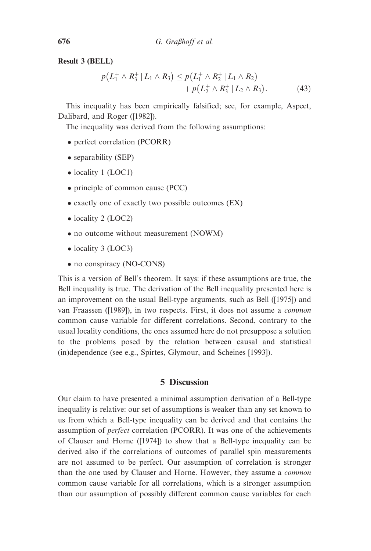Result 3 (BELL)

$$
p(L_1^+ \wedge R_3^+ | L_1 \wedge R_3) \leq p(L_1^+ \wedge R_2^+ | L_1 \wedge R_2) + p(L_2^+ \wedge R_3^+ | L_2 \wedge R_3).
$$
 (43)

This inequality has been empirically falsified; see, for example, Aspect, Dalibard, and Roger ([1982]).

The inequality was derived from the following assumptions:

- perfect correlation (PCORR)
- separability (SEP)
- locality 1 (LOC1)
- principle of common cause (PCC)
- exactly one of exactly two possible outcomes (EX)
- locality 2 (LOC2)
- no outcome without measurement (NOWM)
- locality 3 (LOC3)
- no conspiracy (NO-CONS)

This is a version of Bell's theorem. It says: if these assumptions are true, the Bell inequality is true. The derivation of the Bell inequality presented here is an improvement on the usual Bell-type arguments, such as Bell ([1975]) and van Fraassen ([1989]), in two respects. First, it does not assume a common common cause variable for different correlations. Second, contrary to the usual locality conditions, the ones assumed here do not presuppose a solution to the problems posed by the relation between causal and statistical (in)dependence (see e.g., Spirtes, Glymour, and Scheines [1993]).

# 5 Discussion

Our claim to have presented a minimal assumption derivation of a Bell-type inequality is relative: our set of assumptions is weaker than any set known to us from which a Bell-type inequality can be derived and that contains the assumption of perfect correlation (PCORR). It was one of the achievements of Clauser and Horne ([1974]) to show that a Bell-type inequality can be derived also if the correlations of outcomes of parallel spin measurements are not assumed to be perfect. Our assumption of correlation is stronger than the one used by Clauser and Horne. However, they assume a common common cause variable for all correlations, which is a stronger assumption than our assumption of possibly different common cause variables for each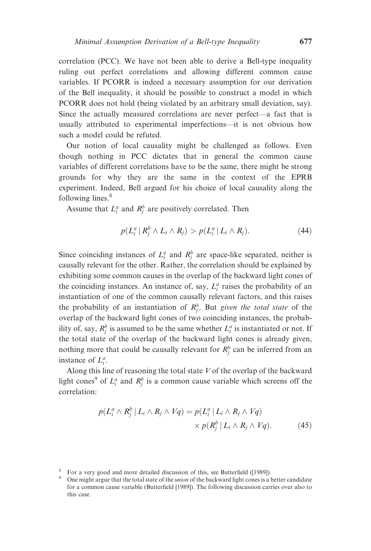correlation (PCC). We have not been able to derive a Bell-type inequality ruling out perfect correlations and allowing different common cause variables. If PCORR is indeed a necessary assumption for our derivation of the Bell inequality, it should be possible to construct a model in which PCORR does not hold (being violated by an arbitrary small deviation, say). Since the actually measured correlations are never perfect—a fact that is usually attributed to experimental imperfections—it is not obvious how such a model could be refuted.

Our notion of local causality might be challenged as follows. Even though nothing in PCC dictates that in general the common cause variables of different correlations have to be the same, there might be strong grounds for why they are the same in the context of the EPRB experiment. Indeed, Bell argued for his choice of local causality along the following lines.<sup>8</sup>

Assume that  $L_i^a$  and  $R_j^b$  are positively correlated. Then

$$
p(L_i^a | R_j^b \wedge L_i \wedge R_j) > p(L_i^a | L_i \wedge R_j). \tag{44}
$$

Since coinciding instances of  $L_i^a$  and  $R_j^b$  are space-like separated, neither is causally relevant for the other. Rather, the correlation should be explained by exhibiting some common causes in the overlap of the backward light cones of the coinciding instances. An instance of, say,  $L_i^a$  raises the probability of an instantiation of one of the common causally relevant factors, and this raises the probability of an instantiation of  $R_j^b$ . But given the total state of the overlap of the backward light cones of two coinciding instances, the probability of, say,  $R_j^b$  is assumed to be the same whether  $L_i^a$  is instantiated or not. If the total state of the overlap of the backward light cones is already given, nothing more that could be causally relevant for  $R_j^b$  can be inferred from an instance of  $L_i^a$ .

Along this line of reasoning the total state  $V$  of the overlap of the backward light cones<sup>9</sup> of  $L_i^a$  and  $R_j^b$  is a common cause variable which screens off the correlation:

$$
p(L_i^a \wedge R_j^b | L_i \wedge R_j \wedge Vq) = p(L_i^a | L_i \wedge R_j \wedge Vq) \times p(R_j^b | L_i \wedge R_j \wedge Vq).
$$
 (45)

<sup>&</sup>lt;sup>8</sup> For a very good and more detailed discussion of this, see Butterfield ([1989]).<br><sup>9</sup> One might argue that the total state of the *union* of the backward light cones is a better candidate for a common cause variable (Butterfield [1989]). The following discussion carries over also to this case.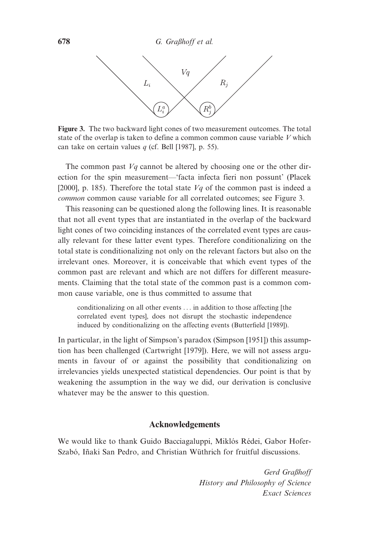

Figure 3. The two backward light cones of two measurement outcomes. The total state of the overlap is taken to define a common common cause variable  $V$  which can take on certain values  $q$  (cf. Bell [1987], p. 55).

The common past  $Vq$  cannot be altered by choosing one or the other direction for the spin measurement—'facta infecta fieri non possunt' (Placek [2000], p. 185). Therefore the total state  $Vq$  of the common past is indeed a common common cause variable for all correlated outcomes; see Figure 3.

This reasoning can be questioned along the following lines. It is reasonable that not all event types that are instantiated in the overlap of the backward light cones of two coinciding instances of the correlated event types are causally relevant for these latter event types. Therefore conditionalizing on the total state is conditionalizing not only on the relevant factors but also on the irrelevant ones. Moreover, it is conceivable that which event types of the common past are relevant and which are not differs for different measurements. Claiming that the total state of the common past is a common common cause variable, one is thus committed to assume that

conditionalizing on all other events ... in addition to those affecting [the correlated event types], does not disrupt the stochastic independence induced by conditionalizing on the affecting events (Butterfield [1989]).

In particular, in the light of Simpson's paradox (Simpson [1951]) this assumption has been challenged (Cartwright [1979]). Here, we will not assess arguments in favour of or against the possibility that conditionalizing on irrelevancies yields unexpected statistical dependencies. Our point is that by weakening the assumption in the way we did, our derivation is conclusive whatever may be the answer to this question.

#### Acknowledgements

We would like to thank Guido Bacciagaluppi, Miklós Rédei, Gabor Hofer-Szabó, Iñaki San Pedro, and Christian Wüthrich for fruitful discussions.

> Gerd Graßhoff History and Philosophy of Science Exact Sciences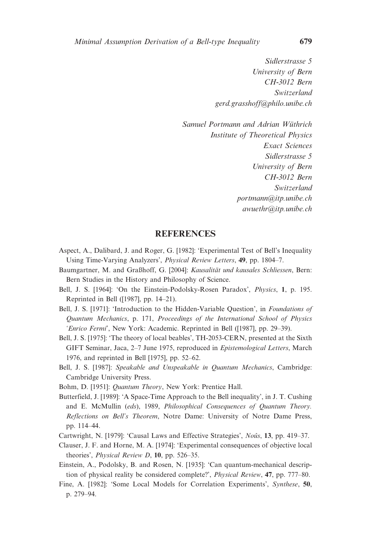Sidlerstrasse 5 University of Bern CH-3012 Bern Switzerland gerd.grasshoff@philo.unibe.ch

Samuel Portmann and Adrian Wüthrich Institute of Theoretical Physics Exact Sciences Sidlerstrasse 5 University of Bern CH-3012 Bern Switzerland portmann@itp.unibe.ch awuethr@itp.unibe.ch

#### **REFERENCES**

- Aspect, A., Dalibard, J. and Roger, G. [1982]: 'Experimental Test of Bell's Inequality Using Time-Varying Analyzers', Physical Review Letters, 49, pp. 1804–7.
- Baumgartner, M. and Graßhoff, G. [2004]: Kausalität und kausales Schliessen, Bern: Bern Studies in the History and Philosophy of Science.
- Bell, J. S. [1964]: 'On the Einstein-Podolsky-Rosen Paradox', Physics, 1, p. 195. Reprinted in Bell ([1987], pp. 14–21).
- Bell, J. S. [1971]: 'Introduction to the Hidden-Variable Question', in Foundations of Quantum Mechanics, p. 171, Proceedings of the International School of Physics 'Enrico Fermi', New York: Academic. Reprinted in Bell ([1987], pp. 29–39).
- Bell, J. S. [1975]: 'The theory of local beables', TH-2053-CERN, presented at the Sixth GIFT Seminar, Jaca, 2–7 June 1975, reproduced in Epistemological Letters, March 1976, and reprinted in Bell [1975], pp. 52–62.
- Bell, J. S. [1987]: Speakable and Unspeakable in Quantum Mechanics, Cambridge: Cambridge University Press.
- Bohm, D. [1951]: Quantum Theory, New York: Prentice Hall.
- Butterfield, J. [1989]: 'A Space-Time Approach to the Bell inequality', in J. T. Cushing and E. McMullin (eds), 1989, Philosophical Consequences of Quantum Theory. Reflections on Bell's Theorem, Notre Dame: University of Notre Dame Press, pp. 114–44.
- Cartwright, N. [1979]: 'Causal Laws and Effective Strategies', Noûs, 13, pp. 419-37.
- Clauser, J. F. and Horne, M. A. [1974]: 'Experimental consequences of objective local theories', Physical Review D, 10, pp. 526–35.
- Einstein, A., Podolsky, B. and Rosen, N. [1935]: 'Can quantum-mechanical description of physical reality be considered complete?', Physical Review, 47, pp. 777–80.
- Fine, A. [1982]: 'Some Local Models for Correlation Experiments', Synthese, 50, p. 279–94.